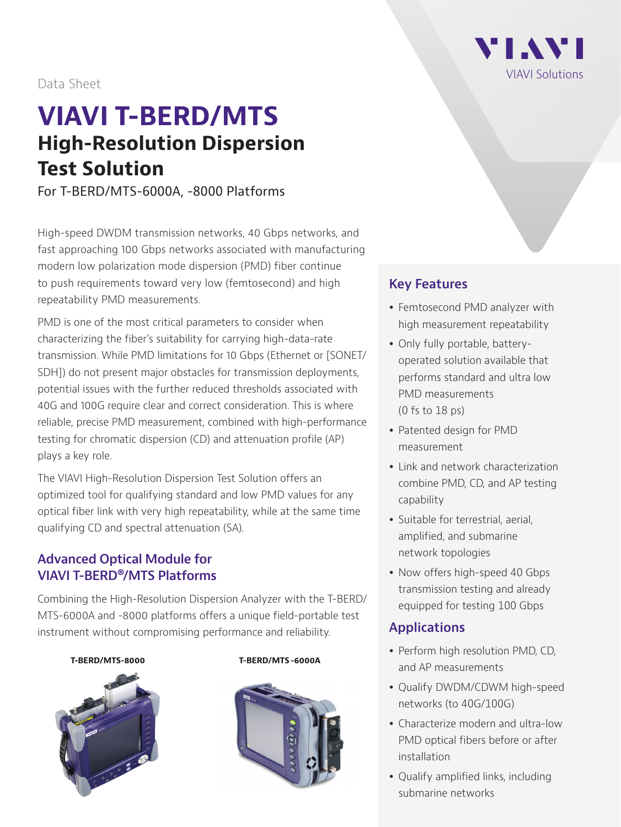#### Data Sheet

# **VIAVI T-BERD/MTS High-Resolution Dispersion Test Solution**

For T-BERD/MTS-6000A, -8000 Platforms

High-speed DWDM transmission networks, 40 Gbps networks, and fast approaching 100 Gbps networks associated with manufacturing modern low polarization mode dispersion (PMD) fiber continue to push requirements toward very low (femtosecond) and high repeatability PMD measurements.

PMD is one of the most critical parameters to consider when characterizing the fiber's suitability for carrying high-data-rate transmission. While PMD limitations for 10 Gbps (Ethernet or [SONET/ SDH]) do not present major obstacles for transmission deployments, potential issues with the further reduced thresholds associated with 40G and 100G require clear and correct consideration. This is where reliable, precise PMD measurement, combined with high-performance testing for chromatic dispersion (CD) and attenuation profile (AP) plays a key role.

The VIAVI High-Resolution Dispersion Test Solution offers an optimized tool for qualifying standard and low PMD values for any optical fiber link with very high repeatability, while at the same time qualifying CD and spectral attenuation (SA).

#### **Advanced Optical Module for VIAVI T-BERD®/MTS Platforms**

Combining the High-Resolution Dispersion Analyzer with the T-BERD/ MTS-6000A and -8000 platforms offers a unique field-portable test instrument without compromising performance and reliability.

#### **T-BERD/MTS-8000 T-BERD/MTS -6000A**







#### **Key Features**

- Femtosecond PMD analyzer with high measurement repeatability
- Only fully portable, batteryoperated solution available that performs standard and ultra low PMD measurements (0 fs to 18 ps)
- Patented design for PMD measurement
- Link and network characterization combine PMD, CD, and AP testing capability
- Suitable for terrestrial, aerial, amplified, and submarine network topologies
- Now offers high-speed 40 Gbps transmission testing and already equipped for testing 100 Gbps

#### **Applications**

- Perform high resolution PMD, CD, and AP measurements
- Qualify DWDM/CDWM high-speed networks (to 40G/100G)
- Characterize modern and ultra-low PMD optical fibers before or after installation
- Qualify amplified links, including submarine networks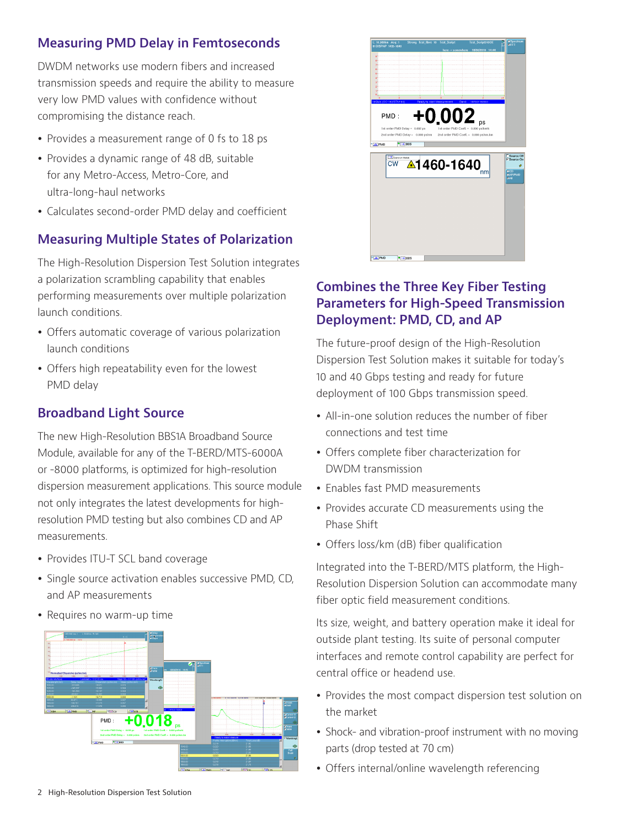#### **Measuring PMD Delay in Femtoseconds**

DWDM networks use modern fibers and increased transmission speeds and require the ability to measure very low PMD values with confidence without compromising the distance reach.

- Provides a measurement range of 0 fs to 18 ps
- Provides a dynamic range of 48 dB, suitable for any Metro-Access, Metro-Core, and ultra-long-haul networks
- Calculates second-order PMD delay and coefficient

#### **Measuring Multiple States of Polarization**

The High-Resolution Dispersion Test Solution integrates a polarization scrambling capability that enables performing measurements over multiple polarization launch conditions.

- Offers automatic coverage of various polarization launch conditions
- Offers high repeatability even for the lowest PMD delay

#### **Broadband Light Source**

The new High-Resolution BBS1A Broadband Source Module, available for any of the T-BERD/MTS-6000A or -8000 platforms, is optimized for high-resolution dispersion measurement applications. This source module not only integrates the latest developments for highresolution PMD testing but also combines CD and AP measurements.

- Provides ITU-T SCL band coverage
- Single source activation enables successive PMD, CD, and AP measurements
- Requires no warm-up time





#### **Combines the Three Key Fiber Testing Parameters for High-Speed Transmission Deployment: PMD, CD, and AP**

The future-proof design of the High-Resolution Dispersion Test Solution makes it suitable for today's 10 and 40 Gbps testing and ready for future deployment of 100 Gbps transmission speed.

- All-in-one solution reduces the number of fiber connections and test time
- Offers complete fiber characterization for DWDM transmission
- Enables fast PMD measurements
- Provides accurate CD measurements using the Phase Shift
- Offers loss/km (dB) fiber qualification

Integrated into the T-BERD/MTS platform, the High-Resolution Dispersion Solution can accommodate many fiber optic field measurement conditions.

Its size, weight, and battery operation make it ideal for outside plant testing. Its suite of personal computer interfaces and remote control capability are perfect for central office or headend use.

- Provides the most compact dispersion test solution on the market
- Shock- and vibration-proof instrument with no moving parts (drop tested at 70 cm)
- Offers internal/online wavelength referencing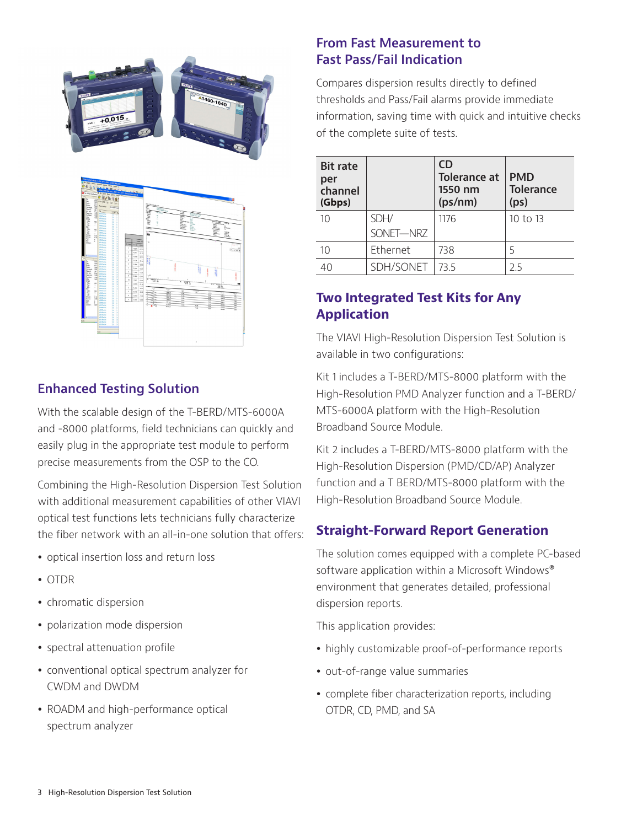

#### **Enhanced Testing Solution**

With the scalable design of the T-BERD/MTS-6000A and -8000 platforms, field technicians can quickly and easily plug in the appropriate test module to perform precise measurements from the OSP to the CO.

Combining the High-Resolution Dispersion Test Solution with additional measurement capabilities of other VIAVI optical test functions lets technicians fully characterize the fiber network with an all-in-one solution that offers:

- optical insertion loss and return loss
- $\bullet$  OTDR
- chromatic dispersion
- polarization mode dispersion
- spectral attenuation profile
- conventional optical spectrum analyzer for CWDM and DWDM
- ROADM and high-performance optical spectrum analyzer

#### **From Fast Measurement to Fast Pass/Fail Indication**

Compares dispersion results directly to defined thresholds and Pass/Fail alarms provide immediate information, saving time with quick and intuitive checks of the complete suite of tests.

| <b>Bit rate</b><br>per<br>channel<br>(Gbps) |           | CD<br><b>Tolerance at</b><br>1550 nm<br>(ps/nm) | <b>PMD</b><br><b>Tolerance</b><br>(p <sub>S</sub> ) |
|---------------------------------------------|-----------|-------------------------------------------------|-----------------------------------------------------|
| 10                                          | SDH/      | 1176                                            | 10 to 13                                            |
|                                             | SONET-NRZ |                                                 |                                                     |
| 10                                          | Ethernet  | 738                                             | 5                                                   |
| 40                                          | SDH/SONET | 735                                             | 25                                                  |

## **Two Integrated Test Kits for Any Application**

The VIAVI High-Resolution Dispersion Test Solution is available in two configurations:

Kit 1 includes a T-BERD/MTS-8000 platform with the High-Resolution PMD Analyzer function and a T-BERD/ MTS-6000A platform with the High-Resolution Broadband Source Module.

Kit 2 includes a T-BERD/MTS-8000 platform with the High-Resolution Dispersion (PMD/CD/AP) Analyzer function and a T BERD/MTS-8000 platform with the High-Resolution Broadband Source Module.

#### **Straight-Forward Report Generation**

The solution comes equipped with a complete PC-based software application within a Microsoft Windows® environment that generates detailed, professional dispersion reports.

This application provides:

- highly customizable proof-of-performance reports
- out-of-range value summaries
- complete fiber characterization reports, including OTDR, CD, PMD, and SA